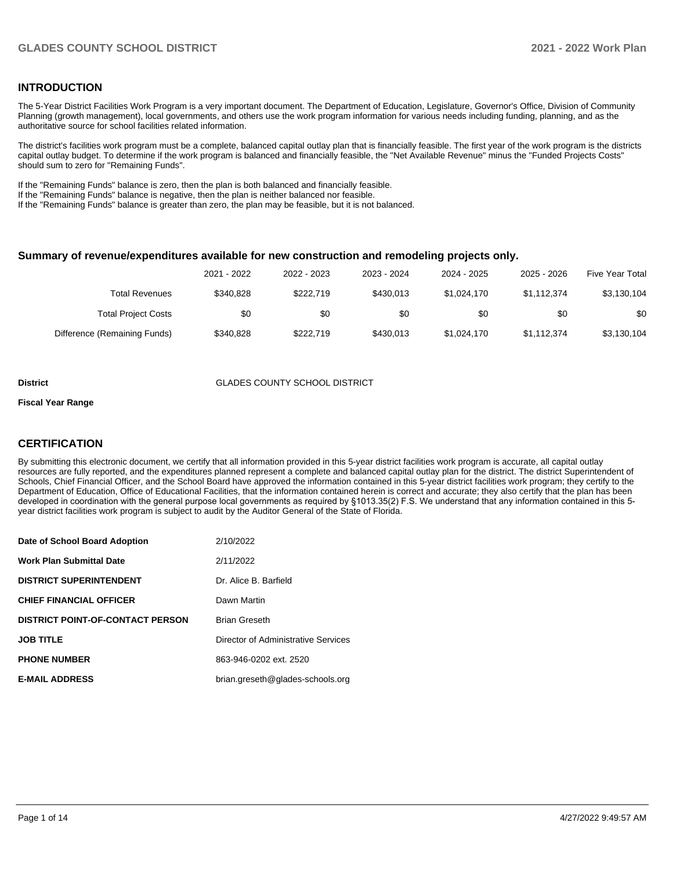#### **INTRODUCTION**

The 5-Year District Facilities Work Program is a very important document. The Department of Education, Legislature, Governor's Office, Division of Community Planning (growth management), local governments, and others use the work program information for various needs including funding, planning, and as the authoritative source for school facilities related information.

The district's facilities work program must be a complete, balanced capital outlay plan that is financially feasible. The first year of the work program is the districts capital outlay budget. To determine if the work program is balanced and financially feasible, the "Net Available Revenue" minus the "Funded Projects Costs" should sum to zero for "Remaining Funds".

If the "Remaining Funds" balance is zero, then the plan is both balanced and financially feasible.

If the "Remaining Funds" balance is negative, then the plan is neither balanced nor feasible.

If the "Remaining Funds" balance is greater than zero, the plan may be feasible, but it is not balanced.

#### **Summary of revenue/expenditures available for new construction and remodeling projects only.**

| <b>Five Year Total</b> | 2025 - 2026 | 2024 - 2025 | 2023 - 2024 | 2022 - 2023 | 2021 - 2022 |                              |
|------------------------|-------------|-------------|-------------|-------------|-------------|------------------------------|
| \$3,130,104            | \$1.112.374 | \$1,024,170 | \$430.013   | \$222.719   | \$340.828   | Total Revenues               |
| \$0                    | \$0         | \$0         | \$0         | \$0         | \$0         | <b>Total Project Costs</b>   |
| \$3,130,104            | \$1,112,374 | \$1,024,170 | \$430.013   | \$222,719   | \$340.828   | Difference (Remaining Funds) |

#### **District GLADES COUNTY SCHOOL DISTRICT**

#### **Fiscal Year Range**

### **CERTIFICATION**

By submitting this electronic document, we certify that all information provided in this 5-year district facilities work program is accurate, all capital outlay resources are fully reported, and the expenditures planned represent a complete and balanced capital outlay plan for the district. The district Superintendent of Schools, Chief Financial Officer, and the School Board have approved the information contained in this 5-year district facilities work program; they certify to the Department of Education, Office of Educational Facilities, that the information contained herein is correct and accurate; they also certify that the plan has been developed in coordination with the general purpose local governments as required by §1013.35(2) F.S. We understand that any information contained in this 5 year district facilities work program is subject to audit by the Auditor General of the State of Florida.

| Date of School Board Adoption           | 2/10/2022                           |
|-----------------------------------------|-------------------------------------|
| <b>Work Plan Submittal Date</b>         | 2/11/2022                           |
| <b>DISTRICT SUPERINTENDENT</b>          | Dr. Alice B. Barfield               |
| <b>CHIEF FINANCIAL OFFICER</b>          | Dawn Martin                         |
| <b>DISTRICT POINT-OF-CONTACT PERSON</b> | <b>Brian Greseth</b>                |
| <b>JOB TITLE</b>                        | Director of Administrative Services |
| <b>PHONE NUMBER</b>                     | 863-946-0202 ext. 2520              |
| <b>E-MAIL ADDRESS</b>                   | brian.greseth@glades-schools.org    |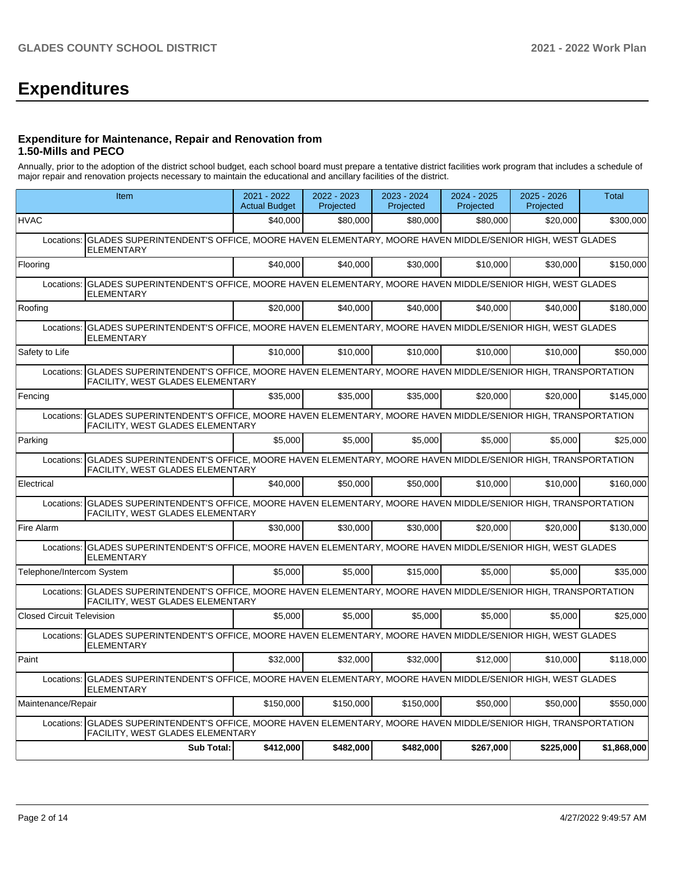# **Expenditures**

#### **Expenditure for Maintenance, Repair and Renovation from 1.50-Mills and PECO**

Annually, prior to the adoption of the district school budget, each school board must prepare a tentative district facilities work program that includes a schedule of major repair and renovation projects necessary to maintain the educational and ancillary facilities of the district.

|                                  | Item                                                                                                                                                           | 2021 - 2022<br><b>Actual Budget</b> | 2022 - 2023<br>Projected | 2023 - 2024<br>Projected | 2024 - 2025<br>Projected | $2025 - 2026$<br>Projected | <b>Total</b> |  |  |
|----------------------------------|----------------------------------------------------------------------------------------------------------------------------------------------------------------|-------------------------------------|--------------------------|--------------------------|--------------------------|----------------------------|--------------|--|--|
| <b>HVAC</b>                      |                                                                                                                                                                | \$40,000                            | \$80,000                 | \$80,000                 | \$80,000                 | \$20,000                   | \$300,000    |  |  |
| Locations:                       | GLADES SUPERINTENDENT'S OFFICE, MOORE HAVEN ELEMENTARY, MOORE HAVEN MIDDLE/SENIOR HIGH, WEST GLADES<br><b>ELEMENTARY</b>                                       |                                     |                          |                          |                          |                            |              |  |  |
| Flooring                         |                                                                                                                                                                | \$40,000                            | \$40,000                 | \$30,000                 | \$10,000                 | \$30,000                   | \$150,000    |  |  |
| Locations:                       | GLADES SUPERINTENDENT'S OFFICE, MOORE HAVEN ELEMENTARY, MOORE HAVEN MIDDLE/SENIOR HIGH, WEST GLADES<br><b>ELEMENTARY</b>                                       |                                     |                          |                          |                          |                            |              |  |  |
| Roofing                          |                                                                                                                                                                | \$20,000                            | \$40,000                 | \$40,000                 | \$40,000                 | \$40,000                   | \$180.000    |  |  |
| Locations:                       | GLADES SUPERINTENDENT'S OFFICE, MOORE HAVEN ELEMENTARY, MOORE HAVEN MIDDLE/SENIOR HIGH, WEST GLADES<br><b>ELEMENTARY</b>                                       |                                     |                          |                          |                          |                            |              |  |  |
| Safety to Life                   |                                                                                                                                                                | \$10.000                            | \$10.000                 | \$10,000                 | \$10,000                 | \$10.000                   | \$50,000     |  |  |
| Locations:                       | GLADES SUPERINTENDENT'S OFFICE, MOORE HAVEN ELEMENTARY, MOORE HAVEN MIDDLE/SENIOR HIGH, TRANSPORTATION<br><b>FACILITY, WEST GLADES ELEMENTARY</b>              |                                     |                          |                          |                          |                            |              |  |  |
| Fencing                          |                                                                                                                                                                | \$35,000                            | \$35,000                 | \$35,000                 | \$20,000                 | \$20,000                   | \$145,000    |  |  |
| Locations:                       | GLADES SUPERINTENDENT'S OFFICE, MOORE HAVEN ELEMENTARY, MOORE HAVEN MIDDLE/SENIOR HIGH, TRANSPORTATION<br>FACILITY, WEST GLADES ELEMENTARY                     |                                     |                          |                          |                          |                            |              |  |  |
| Parking                          |                                                                                                                                                                | \$5,000                             | \$5,000                  | \$5,000                  | \$5,000                  | \$5,000                    | \$25,000     |  |  |
| Locations:                       | GLADES SUPERINTENDENT'S OFFICE, MOORE HAVEN ELEMENTARY, MOORE HAVEN MIDDLE/SENIOR HIGH, TRANSPORTATION<br>FACILITY, WEST GLADES ELEMENTARY                     |                                     |                          |                          |                          |                            |              |  |  |
| Electrical                       |                                                                                                                                                                | \$40,000                            | \$50,000                 | \$50,000                 | \$10,000                 | \$10,000                   | \$160,000    |  |  |
| Locations:                       | GLADES SUPERINTENDENT'S OFFICE, MOORE HAVEN ELEMENTARY, MOORE HAVEN MIDDLE/SENIOR HIGH, TRANSPORTATION<br>FACILITY, WEST GLADES ELEMENTARY                     |                                     |                          |                          |                          |                            |              |  |  |
| Fire Alarm                       |                                                                                                                                                                | \$30,000                            | \$30.000                 | \$30,000                 | \$20,000                 | \$20,000                   | \$130.000    |  |  |
|                                  | Locations: GLADES SUPERINTENDENT'S OFFICE, MOORE HAVEN ELEMENTARY, MOORE HAVEN MIDDLE/SENIOR HIGH, WEST GLADES<br><b>ELEMENTARY</b>                            |                                     |                          |                          |                          |                            |              |  |  |
| Telephone/Intercom System        |                                                                                                                                                                | \$5,000                             | \$5.000                  | \$15,000                 | \$5.000                  | \$5,000                    | \$35.000     |  |  |
| Locations:                       | GLADES SUPERINTENDENT'S OFFICE, MOORE HAVEN ELEMENTARY, MOORE HAVEN MIDDLE/SENIOR HIGH, TRANSPORTATION<br>FACILITY, WEST GLADES ELEMENTARY                     |                                     |                          |                          |                          |                            |              |  |  |
| <b>Closed Circuit Television</b> |                                                                                                                                                                | \$5,000                             | \$5,000                  | \$5,000                  | \$5,000                  | \$5,000                    | \$25,000     |  |  |
| Locations:                       | GLADES SUPERINTENDENT'S OFFICE, MOORE HAVEN ELEMENTARY, MOORE HAVEN MIDDLE/SENIOR HIGH, WEST GLADES<br><b>ELEMENTARY</b>                                       |                                     |                          |                          |                          |                            |              |  |  |
| Paint                            |                                                                                                                                                                | \$32,000                            | \$32,000                 | \$32,000                 | \$12,000                 | \$10,000                   | \$118,000    |  |  |
|                                  | Locations: CCLADES SUPERINTENDENT'S OFFICE, MOORE HAVEN ELEMENTARY, MOORE HAVEN MIDDLE/SENIOR HIGH, WEST GLADES<br><b>ELEMENTARY</b>                           |                                     |                          |                          |                          |                            |              |  |  |
| Maintenance/Repair               |                                                                                                                                                                | \$150.000                           | \$150,000                | \$150.000                | \$50,000                 | \$50,000                   | \$550.000    |  |  |
|                                  | Locations:   GLADES SUPERINTENDENT'S OFFICE, MOORE HAVEN ELEMENTARY, MOORE HAVEN MIDDLE/SENIOR HIGH, TRANSPORTATION<br><b>FACILITY, WEST GLADES ELEMENTARY</b> |                                     |                          |                          |                          |                            |              |  |  |
|                                  | <b>Sub Total:</b>                                                                                                                                              | \$412,000                           | \$482,000                | \$482,000                | \$267,000                | \$225,000                  | \$1,868,000  |  |  |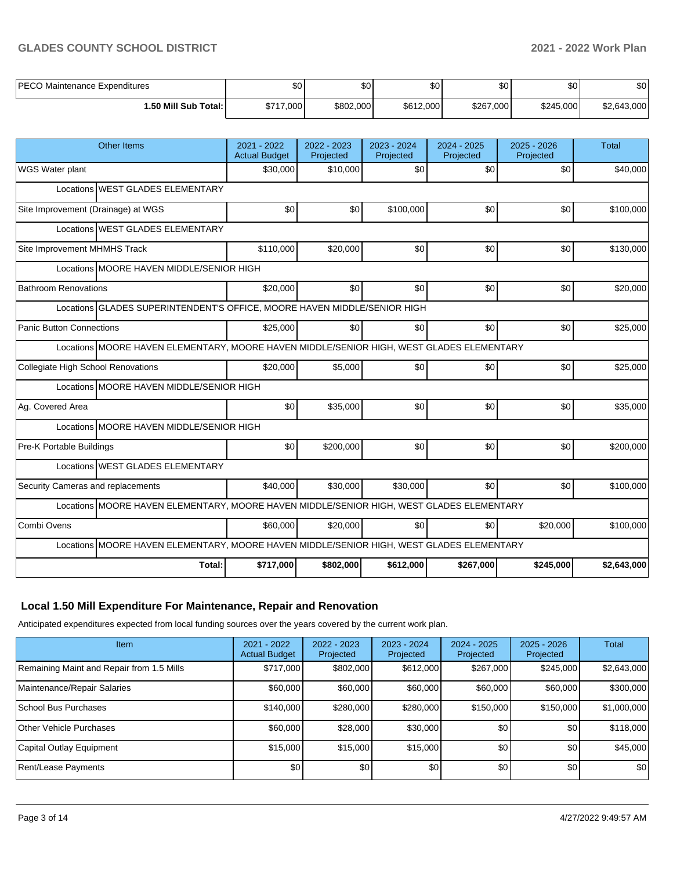## **GLADES COUNTY SCHOOL DISTRICT 2021 - 2022 Work Plan**

| I PECO M:<br>) Maintenance Expenditures | ሖ<br>טע   | ሖ<br>DU   | \$0 <sub>1</sub> | ¢Λ<br>υŒ  | \$0       | $\sim$<br>Ψυ |
|-----------------------------------------|-----------|-----------|------------------|-----------|-----------|--------------|
| 1.50 Mill Sub Total: İ                  | \$717,000 | \$802,000 | \$612,000        | \$267,000 | \$245,000 | \$2,643,000  |

| 2021 - 2022<br><b>Actual Budget</b>                                                      | 2022 - 2023<br>Projected                                                                                                                                             | 2023 - 2024<br>Projected | 2024 - 2025<br>Projected | 2025 - 2026<br>Projected                                                 | <b>Total</b>                                                                                                                                                                         |  |  |  |  |  |
|------------------------------------------------------------------------------------------|----------------------------------------------------------------------------------------------------------------------------------------------------------------------|--------------------------|--------------------------|--------------------------------------------------------------------------|--------------------------------------------------------------------------------------------------------------------------------------------------------------------------------------|--|--|--|--|--|
| \$30,000                                                                                 | \$10,000                                                                                                                                                             | \$0                      | \$0                      | \$0                                                                      | \$40,000                                                                                                                                                                             |  |  |  |  |  |
| Locations WEST GLADES ELEMENTARY                                                         |                                                                                                                                                                      |                          |                          |                                                                          |                                                                                                                                                                                      |  |  |  |  |  |
| \$0                                                                                      | \$0                                                                                                                                                                  | \$100,000                | \$0                      | \$0                                                                      | \$100,000                                                                                                                                                                            |  |  |  |  |  |
| Locations WEST GLADES ELEMENTARY                                                         |                                                                                                                                                                      |                          |                          |                                                                          |                                                                                                                                                                                      |  |  |  |  |  |
| \$110,000                                                                                | \$20,000                                                                                                                                                             | \$0                      | \$0                      | \$0                                                                      | \$130,000                                                                                                                                                                            |  |  |  |  |  |
|                                                                                          |                                                                                                                                                                      |                          |                          |                                                                          |                                                                                                                                                                                      |  |  |  |  |  |
| \$20,000                                                                                 | \$0                                                                                                                                                                  | \$0                      | \$0                      | \$0                                                                      | \$20,000                                                                                                                                                                             |  |  |  |  |  |
|                                                                                          |                                                                                                                                                                      |                          |                          |                                                                          |                                                                                                                                                                                      |  |  |  |  |  |
| \$25,000                                                                                 | \$0                                                                                                                                                                  | \$0                      | \$0                      | \$0                                                                      | \$25,000                                                                                                                                                                             |  |  |  |  |  |
|                                                                                          |                                                                                                                                                                      |                          |                          |                                                                          |                                                                                                                                                                                      |  |  |  |  |  |
| \$20,000                                                                                 | \$5,000                                                                                                                                                              | \$0                      | \$0                      | \$0                                                                      | \$25,000                                                                                                                                                                             |  |  |  |  |  |
|                                                                                          |                                                                                                                                                                      |                          |                          |                                                                          |                                                                                                                                                                                      |  |  |  |  |  |
| \$0                                                                                      | \$35,000                                                                                                                                                             | \$0                      | \$0                      | \$0                                                                      | \$35,000                                                                                                                                                                             |  |  |  |  |  |
|                                                                                          |                                                                                                                                                                      |                          |                          |                                                                          |                                                                                                                                                                                      |  |  |  |  |  |
| \$0                                                                                      | \$200,000                                                                                                                                                            | \$0                      | \$0                      | \$0                                                                      | \$200,000                                                                                                                                                                            |  |  |  |  |  |
|                                                                                          |                                                                                                                                                                      |                          |                          |                                                                          |                                                                                                                                                                                      |  |  |  |  |  |
| \$40,000                                                                                 | \$30,000                                                                                                                                                             | \$30,000                 | \$0                      | \$0                                                                      | \$100,000                                                                                                                                                                            |  |  |  |  |  |
|                                                                                          |                                                                                                                                                                      |                          |                          |                                                                          |                                                                                                                                                                                      |  |  |  |  |  |
| \$60,000                                                                                 | \$20,000                                                                                                                                                             | \$0                      | \$0                      | \$20,000                                                                 | \$100,000                                                                                                                                                                            |  |  |  |  |  |
| Locations MOORE HAVEN ELEMENTARY, MOORE HAVEN MIDDLE/SENIOR HIGH, WEST GLADES ELEMENTARY |                                                                                                                                                                      |                          |                          |                                                                          |                                                                                                                                                                                      |  |  |  |  |  |
|                                                                                          |                                                                                                                                                                      |                          |                          |                                                                          |                                                                                                                                                                                      |  |  |  |  |  |
|                                                                                          | Locations MOORE HAVEN MIDDLE/SENIOR HIGH<br>Locations MOORE HAVEN MIDDLE/SENIOR HIGH<br>Locations MOORE HAVEN MIDDLE/SENIOR HIGH<br>Locations WEST GLADES ELEMENTARY |                          |                          | Locations GLADES SUPERINTENDENT'S OFFICE, MOORE HAVEN MIDDLE/SENIOR HIGH | Locations MOORE HAVEN ELEMENTARY, MOORE HAVEN MIDDLE/SENIOR HIGH, WEST GLADES ELEMENTARY<br>Locations MOORE HAVEN ELEMENTARY, MOORE HAVEN MIDDLE/SENIOR HIGH, WEST GLADES ELEMENTARY |  |  |  |  |  |

# **Local 1.50 Mill Expenditure For Maintenance, Repair and Renovation**

Anticipated expenditures expected from local funding sources over the years covered by the current work plan.

| <b>Item</b>                               | 2021 - 2022<br><b>Actual Budget</b> | $2022 - 2023$<br>Projected | $2023 - 2024$<br>Projected | $2024 - 2025$<br>Projected | $2025 - 2026$<br>Projected | Total       |
|-------------------------------------------|-------------------------------------|----------------------------|----------------------------|----------------------------|----------------------------|-------------|
| Remaining Maint and Repair from 1.5 Mills | \$717,000                           | \$802,000                  | \$612,000                  | \$267,000                  | \$245,000                  | \$2,643,000 |
| Maintenance/Repair Salaries               | \$60,000                            | \$60,000                   | \$60,000                   | \$60,000                   | \$60,000                   | \$300,000   |
| School Bus Purchases                      | \$140,000                           | \$280,000                  | \$280,000                  | \$150,000                  | \$150,000                  | \$1,000,000 |
| Other Vehicle Purchases                   | \$60,000                            | \$28,000                   | \$30,000                   | \$0 <sub>1</sub>           | \$0                        | \$118,000   |
| Capital Outlay Equipment                  | \$15,000                            | \$15,000                   | \$15,000                   | \$0                        | \$0                        | \$45,000    |
| Rent/Lease Payments                       | \$0                                 | \$0                        | \$0                        | \$0                        | \$0                        | \$0         |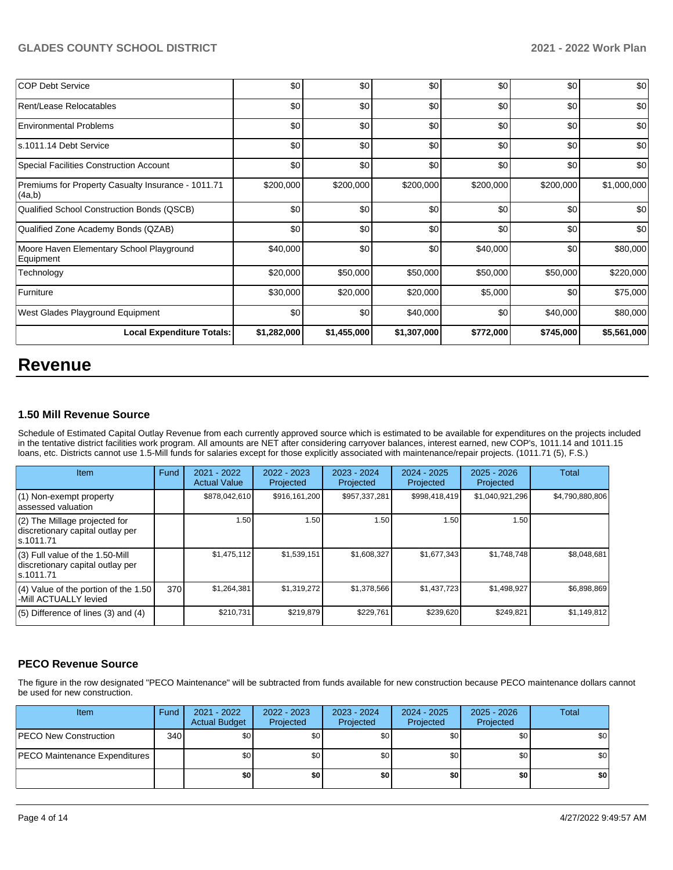| <b>COP Debt Service</b>                                      | \$0         | \$0         | \$0         | \$0       | \$0       | \$0         |
|--------------------------------------------------------------|-------------|-------------|-------------|-----------|-----------|-------------|
| Rent/Lease Relocatables                                      | \$0         | \$0         | \$0         | \$0       | \$0       | \$0         |
| Environmental Problems                                       | \$0         | \$0         | \$0         | \$0       | \$0       | \$0         |
| ls.1011.14 Debt Service                                      | \$0         | \$0         | \$0         | \$0       | \$0       | \$0         |
| Special Facilities Construction Account                      | \$0         | \$0         | \$0         | \$0       | \$0       | \$0         |
| Premiums for Property Casualty Insurance - 1011.71<br>(4a,b) | \$200,000   | \$200,000   | \$200,000   | \$200,000 | \$200,000 | \$1,000,000 |
| Qualified School Construction Bonds (QSCB)                   | \$0         | \$0         | \$0         | \$0       | \$0       | \$0         |
| Qualified Zone Academy Bonds (QZAB)                          | \$0         | \$0         | \$0         | \$0       | \$0       | \$0         |
| Moore Haven Elementary School Playground<br>Equipment        | \$40,000    | \$0         | \$0         | \$40,000  | \$0       | \$80,000    |
| Technology                                                   | \$20,000    | \$50,000    | \$50,000    | \$50,000  | \$50,000  | \$220,000   |
| Furniture                                                    | \$30,000    | \$20,000    | \$20,000    | \$5,000   | \$0       | \$75,000    |
| West Glades Playground Equipment                             | \$0         | \$0         | \$40,000    | \$0       | \$40,000  | \$80,000    |
| <b>Local Expenditure Totals:</b>                             | \$1,282,000 | \$1,455,000 | \$1,307,000 | \$772,000 | \$745,000 | \$5,561,000 |

# **Revenue**

# **1.50 Mill Revenue Source**

Schedule of Estimated Capital Outlay Revenue from each currently approved source which is estimated to be available for expenditures on the projects included in the tentative district facilities work program. All amounts are NET after considering carryover balances, interest earned, new COP's, 1011.14 and 1011.15 loans, etc. Districts cannot use 1.5-Mill funds for salaries except for those explicitly associated with maintenance/repair projects. (1011.71 (5), F.S.)

| Item                                                                                | Fund | 2021 - 2022<br><b>Actual Value</b> | $2022 - 2023$<br>Projected | 2023 - 2024<br>Projected | $2024 - 2025$<br>Projected | $2025 - 2026$<br>Projected | Total           |
|-------------------------------------------------------------------------------------|------|------------------------------------|----------------------------|--------------------------|----------------------------|----------------------------|-----------------|
| (1) Non-exempt property<br>lassessed valuation                                      |      | \$878,042,610                      | \$916,161,200              | \$957,337,281            | \$998,418,419              | \$1,040,921,296            | \$4,790,880,806 |
| (2) The Millage projected for<br>discretionary capital outlay per<br>ls.1011.71     |      | 1.50                               | 1.50                       | 1.50                     | 1.50                       | 1.50                       |                 |
| $(3)$ Full value of the 1.50-Mill<br>discretionary capital outlay per<br>ls.1011.71 |      | \$1,475,112                        | \$1,539,151                | \$1,608,327              | \$1,677,343                | \$1,748,748                | \$8,048,681     |
| $(4)$ Value of the portion of the 1.50<br>-Mill ACTUALLY levied                     | 370  | \$1,264,381                        | \$1,319,272                | \$1,378,566              | \$1,437,723                | \$1,498,927                | \$6,898,869     |
| $(5)$ Difference of lines (3) and (4)                                               |      | \$210,731                          | \$219,879                  | \$229.761                | \$239,620                  | \$249,821                  | \$1,149,812     |

# **PECO Revenue Source**

The figure in the row designated "PECO Maintenance" will be subtracted from funds available for new construction because PECO maintenance dollars cannot be used for new construction.

| <b>Item</b>                          | Fund | 2021 - 2022<br><b>Actual Budget</b> | 2022 - 2023<br>Projected | 2023 - 2024<br>Projected | $2024 - 2025$<br>Projected | $2025 - 2026$<br>Projected | <b>Total</b> |
|--------------------------------------|------|-------------------------------------|--------------------------|--------------------------|----------------------------|----------------------------|--------------|
| <b>IPECO New Construction</b>        | 340  | \$0                                 | \$0                      | \$0                      | <b>SOI</b>                 | \$0                        | \$0          |
| <b>PECO Maintenance Expenditures</b> |      | \$0                                 | \$0                      | \$0                      | \$0 <sub>1</sub>           | \$0                        | \$0          |
|                                      |      | \$0                                 | \$0                      | \$0                      | \$٥١                       | \$0                        | \$0          |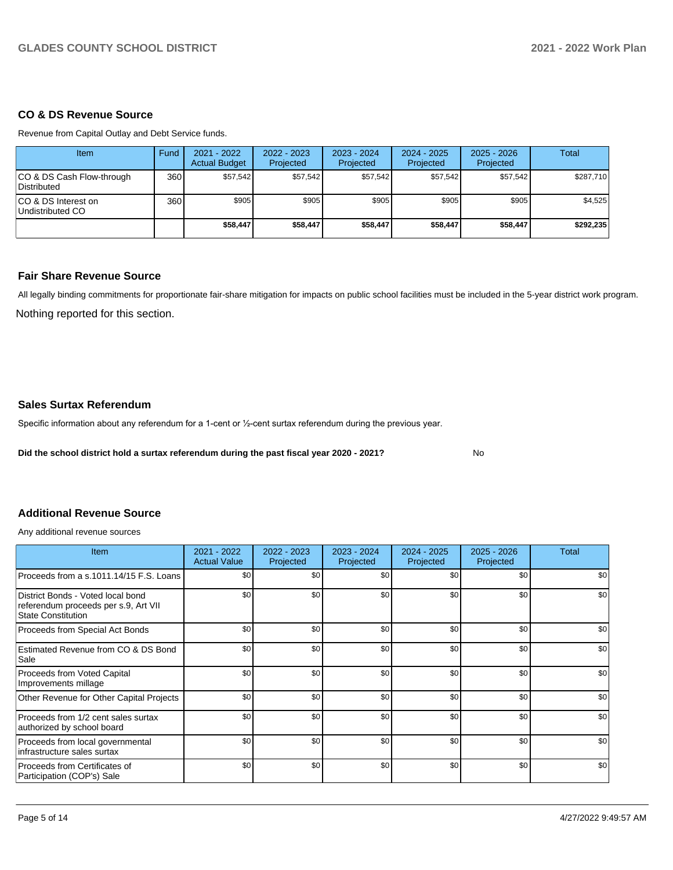### **CO & DS Revenue Source**

Revenue from Capital Outlay and Debt Service funds.

| Item                                            | Fund | 2021 - 2022<br><b>Actual Budget</b> | 2022 - 2023<br>Projected | $2023 - 2024$<br>Projected | 2024 - 2025<br>Projected | $2025 - 2026$<br>Projected | Total     |
|-------------------------------------------------|------|-------------------------------------|--------------------------|----------------------------|--------------------------|----------------------------|-----------|
| CO & DS Cash Flow-through<br><b>Distributed</b> | 360  | \$57.542                            | \$57.542                 | \$57.542                   | \$57,542                 | \$57.542                   | \$287.710 |
| CO & DS Interest on<br>Undistributed CO         | 360  | \$905                               | \$905                    | \$905                      | \$905                    | \$905                      | \$4,525   |
|                                                 |      | \$58,447                            | \$58,447                 | \$58,447                   | \$58.447                 | \$58,447                   | \$292.235 |

#### **Fair Share Revenue Source**

Nothing reported for this section. All legally binding commitments for proportionate fair-share mitigation for impacts on public school facilities must be included in the 5-year district work program.

No

### **Sales Surtax Referendum**

Specific information about any referendum for a 1-cent or ½-cent surtax referendum during the previous year.

**Did the school district hold a surtax referendum during the past fiscal year 2020 - 2021?**

# **Additional Revenue Source**

Any additional revenue sources

| <b>Item</b>                                                                                            | 2021 - 2022<br><b>Actual Value</b> | 2022 - 2023<br>Projected | 2023 - 2024<br>Projected | $2024 - 2025$<br>Projected | $2025 - 2026$<br>Projected | Total |
|--------------------------------------------------------------------------------------------------------|------------------------------------|--------------------------|--------------------------|----------------------------|----------------------------|-------|
| Proceeds from a s.1011.14/15 F.S. Loans                                                                | \$0                                | \$0                      | \$0                      | \$0                        | \$0                        | \$0   |
| District Bonds - Voted local bond<br>referendum proceeds per s.9, Art VII<br><b>State Constitution</b> | \$0                                | \$0                      | \$0                      | \$0                        | \$0                        | \$0   |
| Proceeds from Special Act Bonds                                                                        | \$0                                | \$0                      | \$0                      | \$0                        | \$0                        | \$0   |
| Estimated Revenue from CO & DS Bond<br>Sale                                                            | \$0                                | \$0                      | \$0                      | \$0                        | \$0                        | \$0   |
| Proceeds from Voted Capital<br>Improvements millage                                                    | \$0                                | \$0                      | \$0                      | \$0                        | \$0                        | \$0   |
| Other Revenue for Other Capital Projects                                                               | \$0                                | \$0                      | \$0                      | \$0                        | \$0                        | \$0   |
| Proceeds from 1/2 cent sales surtax<br>authorized by school board                                      | \$0                                | \$0                      | \$0                      | \$0                        | \$0                        | \$0   |
| Proceeds from local governmental<br>infrastructure sales surtax                                        | \$0                                | \$0                      | \$0                      | \$0                        | \$0                        | \$0   |
| Proceeds from Certificates of<br>Participation (COP's) Sale                                            | \$0                                | \$0                      | \$0                      | \$0                        | \$0                        | \$0   |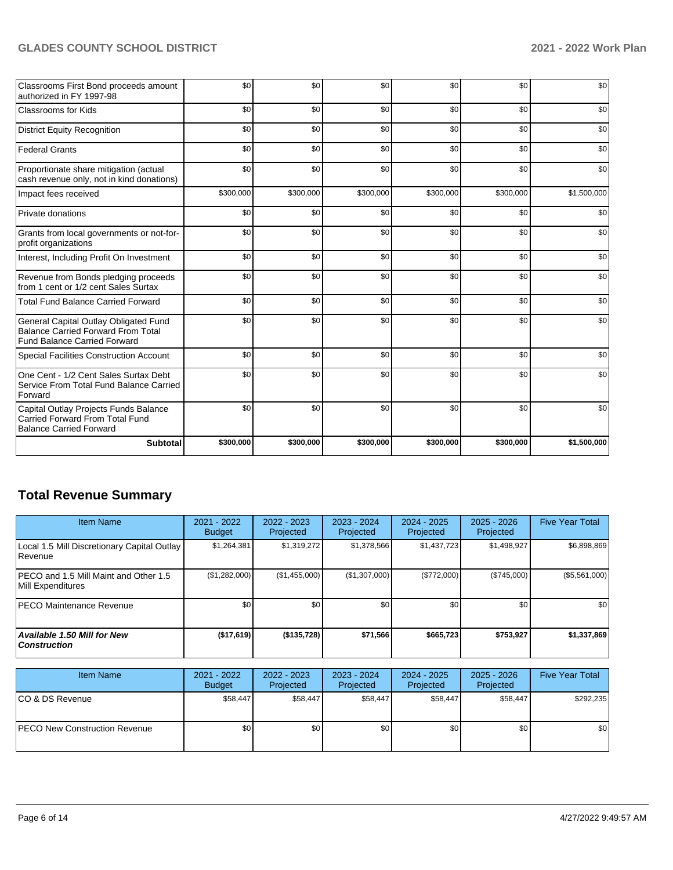# **GLADES COUNTY SCHOOL DISTRICT 2021 - 2022 Work Plan**

| Classrooms First Bond proceeds amount<br>authorized in FY 1997-98                                                         | \$0       | \$0       | \$0       | \$0       | \$0       | \$0         |
|---------------------------------------------------------------------------------------------------------------------------|-----------|-----------|-----------|-----------|-----------|-------------|
| <b>Classrooms for Kids</b>                                                                                                | \$0       | \$0       | \$0       | \$0       | \$0       | \$0         |
| <b>District Equity Recognition</b>                                                                                        | \$0       | \$0       | \$0       | \$0       | \$0       | \$0         |
| <b>Federal Grants</b>                                                                                                     | \$0       | \$0       | \$0       | \$0       | \$0       | \$0         |
| Proportionate share mitigation (actual<br>cash revenue only, not in kind donations)                                       | \$0       | \$0       | \$0       | \$0       | \$0       | \$0         |
| Impact fees received                                                                                                      | \$300,000 | \$300,000 | \$300,000 | \$300,000 | \$300,000 | \$1,500,000 |
| <b>Private donations</b>                                                                                                  | \$0       | \$0       | \$0       | \$0       | \$0       | \$0         |
| Grants from local governments or not-for-<br>profit organizations                                                         | \$0       | \$0       | \$0       | \$0       | \$0       | \$0         |
| Interest, Including Profit On Investment                                                                                  | \$0       | \$0       | \$0       | \$0       | \$0       | \$0         |
| Revenue from Bonds pledging proceeds<br>from 1 cent or 1/2 cent Sales Surtax                                              | \$0       | \$0       | \$0       | \$0       | \$0       | \$0         |
| <b>Total Fund Balance Carried Forward</b>                                                                                 | \$0       | \$0       | \$0       | \$0       | \$0       | \$0         |
| General Capital Outlay Obligated Fund<br><b>Balance Carried Forward From Total</b><br><b>Fund Balance Carried Forward</b> | \$0       | \$0       | \$0       | \$0       | \$0       | \$0         |
| Special Facilities Construction Account                                                                                   | \$0       | \$0       | \$0       | \$0       | \$0       | \$0         |
| One Cent - 1/2 Cent Sales Surtax Debt<br>Service From Total Fund Balance Carried<br>Forward                               | \$0       | \$0       | \$0       | \$0       | \$0       | \$0         |
| Capital Outlay Projects Funds Balance<br><b>Carried Forward From Total Fund</b><br><b>Balance Carried Forward</b>         | \$0       | \$0       | \$0       | \$0       | \$0       | \$0         |
| <b>Subtotal</b>                                                                                                           | \$300,000 | \$300,000 | \$300,000 | \$300,000 | \$300,000 | \$1,500,000 |

# **Total Revenue Summary**

| <b>Item Name</b>                                            | 2021 - 2022<br><b>Budget</b> | 2022 - 2023<br>Projected | 2023 - 2024<br>Projected | $2024 - 2025$<br>Projected | $2025 - 2026$<br>Projected | <b>Five Year Total</b> |
|-------------------------------------------------------------|------------------------------|--------------------------|--------------------------|----------------------------|----------------------------|------------------------|
| Local 1.5 Mill Discretionary Capital Outlay<br>Revenue      | \$1,264,381                  | \$1,319,272              | \$1,378,566              | \$1,437,723                | \$1,498,927                | \$6,898,869            |
| IPECO and 1.5 Mill Maint and Other 1.5<br>Mill Expenditures | (\$1,282,000)                | (\$1,455,000)            | (\$1,307,000)            | (\$772,000)                | (\$745,000)                | (\$5,561,000)          |
| <b>PECO Maintenance Revenue</b>                             | \$0                          | \$0 <sub>1</sub>         | \$0                      | \$0                        | \$0                        | \$0                    |
| Available 1.50 Mill for New<br><b>Construction</b>          | (\$17,619)                   | (\$135,728)              | \$71,566                 | \$665,723                  | \$753,927                  | \$1,337,869            |

| <b>Item Name</b>                      | $2021 - 2022$<br><b>Budget</b> | $2022 - 2023$<br>Projected | 2023 - 2024<br>Projected | 2024 - 2025<br>Projected | $2025 - 2026$<br>Projected | <b>Five Year Total</b> |
|---------------------------------------|--------------------------------|----------------------------|--------------------------|--------------------------|----------------------------|------------------------|
| ICO & DS Revenue                      | \$58,447                       | \$58.447                   | \$58.447                 | \$58,447                 | \$58.447                   | \$292,235              |
| <b>IPECO New Construction Revenue</b> | \$0                            | \$0 <sub>1</sub>           | \$0                      | \$0 <sub>1</sub>         | \$0 <sub>1</sub>           | \$0                    |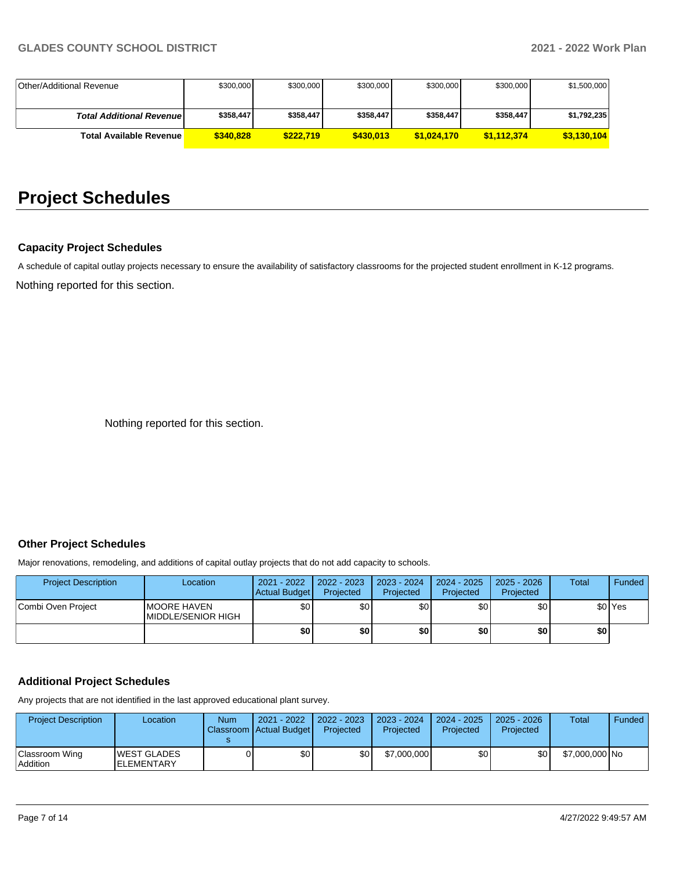| Other/Additional Revenue         | \$300,000 | \$300,000 | \$300,000 | \$300,000   | \$300,000   | \$1.500.000 |
|----------------------------------|-----------|-----------|-----------|-------------|-------------|-------------|
|                                  |           |           |           |             |             |             |
|                                  |           |           |           |             |             |             |
| <b>Total Additional Revenuel</b> | \$358,447 | \$358,447 | \$358.447 | \$358.447   | \$358.447   | \$1,792,235 |
|                                  |           |           |           |             |             |             |
| <b>Total Available Revenue</b>   | \$340,828 | \$222.719 | \$430,013 | \$1.024.170 | \$1,112,374 | \$3,130,104 |

# **Project Schedules**

# **Capacity Project Schedules**

Nothing reported for this section. A schedule of capital outlay projects necessary to ensure the availability of satisfactory classrooms for the projected student enrollment in K-12 programs.

Nothing reported for this section.

# **Other Project Schedules**

Major renovations, remodeling, and additions of capital outlay projects that do not add capacity to schools.

| <b>Project Description</b> | Location                                          | 2021 - 2022<br>Actual Budget | $2022 - 2023$<br>Projected | $2023 - 2024$<br>Projected | 2024 - 2025<br>Projected | $2025 - 2026$<br>Projected | <b>Total</b> | Funded             |
|----------------------------|---------------------------------------------------|------------------------------|----------------------------|----------------------------|--------------------------|----------------------------|--------------|--------------------|
| Combi Oven Project         | <b>IMOORE HAVEN</b><br><b>IMIDDLE/SENIOR HIGH</b> | \$0                          | \$0                        | \$0                        | \$0                      | \$0                        |              | \$0 <sup>Yes</sup> |
|                            |                                                   | \$0                          | \$0 I                      | \$0                        | \$0                      | \$0                        | \$0          |                    |

# **Additional Project Schedules**

Any projects that are not identified in the last approved educational plant survey.

| <b>Project Description</b> | Location                                 | Num | 2021 - 2022<br>Classroom Actual Budget | $12022 - 2023$<br>Projected | 2023 - 2024<br>Projected | 2024 - 2025<br>Projected | 2025 - 2026<br>Projected | Total          | Funded |
|----------------------------|------------------------------------------|-----|----------------------------------------|-----------------------------|--------------------------|--------------------------|--------------------------|----------------|--------|
| Classroom Wing<br>Addition | <b>WEST GLADES</b><br><b>IELEMENTARY</b> |     | \$0                                    | \$0                         | \$7,000,000              | \$0                      | \$0 <sub>1</sub>         | \$7,000,000 No |        |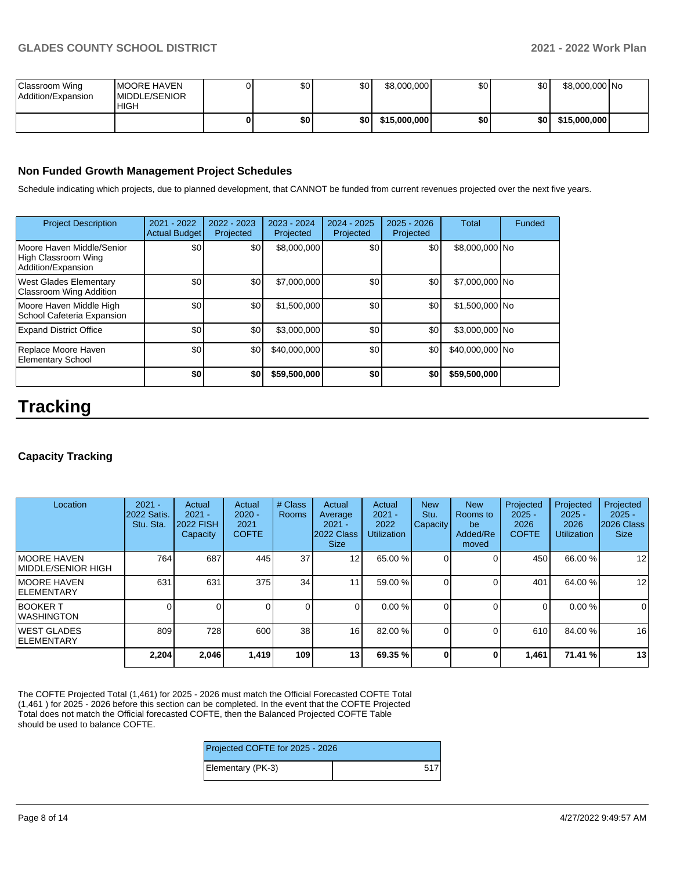| Classroom Wing<br>Addition/Expansion | <b>IMOORE HAVEN</b><br><b>IMIDDLE/SENIOR</b><br><b>HIGH</b> | \$0 | \$0  | \$8,000,000  | \$0 | \$0 | \$8.000.000 No |  |
|--------------------------------------|-------------------------------------------------------------|-----|------|--------------|-----|-----|----------------|--|
|                                      |                                                             | \$0 | ا SO | \$15,000,000 | \$0 | \$0 | \$15,000,000   |  |

### **Non Funded Growth Management Project Schedules**

Schedule indicating which projects, due to planned development, that CANNOT be funded from current revenues projected over the next five years.

| <b>Project Description</b>                                             | 2021 - 2022<br><b>Actual Budget</b> | 2022 - 2023<br>Projected | 2023 - 2024<br>Projected | 2024 - 2025<br>Projected | 2025 - 2026<br>Projected | <b>Total</b>    | Funded |
|------------------------------------------------------------------------|-------------------------------------|--------------------------|--------------------------|--------------------------|--------------------------|-----------------|--------|
| Moore Haven Middle/Senior<br>High Classroom Wing<br>Addition/Expansion | \$0                                 | \$0                      | \$8,000,000              | \$0                      | \$0                      | \$8,000,000 No  |        |
| <b>West Glades Elementary</b><br><b>Classroom Wing Addition</b>        | \$0                                 | \$0                      | \$7,000,000              | \$0                      | \$0                      | \$7,000,000 No  |        |
| Moore Haven Middle High<br>School Cafeteria Expansion                  | \$0                                 | \$0                      | \$1,500,000              | \$0                      | \$0                      | \$1,500,000 No  |        |
| <b>Expand District Office</b>                                          | \$0                                 | \$0                      | \$3,000,000              | \$0                      | \$0                      | \$3,000,000 No  |        |
| Replace Moore Haven<br><b>Elementary School</b>                        | \$0                                 | \$0                      | \$40,000,000             | \$0                      | \$0                      | \$40,000,000 No |        |
|                                                                        | \$0                                 | \$0                      | \$59,500,000             | \$0                      | \$0                      | \$59,500,000    |        |

# **Tracking**

# **Capacity Tracking**

| Location                            | $2021 -$<br><b>2022 Satis.</b><br>Stu. Sta. | Actual<br>$2021 -$<br><b>2022 FISH</b><br>Capacity | Actual<br>$2020 -$<br>2021<br><b>COFTE</b> | # Class<br><b>Rooms</b> | Actual<br>Average<br>$2021 -$<br>2022 Class<br><b>Size</b> | Actual<br>$2021 -$<br>2022<br><b>Utilization</b> | <b>New</b><br>Stu.<br><b>Capacity</b> | <b>New</b><br>Rooms to<br>be<br>Added/Re<br>moved | Projected<br>$2025 -$<br>2026<br><b>COFTE</b> | Projected<br>$2025 -$<br>2026<br><b>Utilization</b> | Projected<br>$2025 -$<br>2026 Class<br><b>Size</b> |
|-------------------------------------|---------------------------------------------|----------------------------------------------------|--------------------------------------------|-------------------------|------------------------------------------------------------|--------------------------------------------------|---------------------------------------|---------------------------------------------------|-----------------------------------------------|-----------------------------------------------------|----------------------------------------------------|
| IMOORE HAVEN<br>IMIDDLE/SENIOR HIGH | 764                                         | 687                                                | 445                                        | 37                      | 12                                                         | 65.00 %                                          |                                       |                                                   | 450                                           | 66.00 %                                             | 12                                                 |
| <b>IMOORE HAVEN</b><br>IELEMENTARY  | 631                                         | 631                                                | 375                                        | 34                      | 1                                                          | 59.00 %                                          |                                       |                                                   | 401                                           | 64.00 %                                             | $12 \overline{ }$                                  |
| <b>BOOKER T</b><br>IWASHINGTON      |                                             |                                                    |                                            | 0                       |                                                            | 0.00%                                            |                                       |                                                   | 0                                             | 0.00%                                               | $\mathbf 0$                                        |
| IWEST GLADES<br><b>IELEMENTARY</b>  | 809                                         | 728                                                | 600                                        | 38                      | 16 <sup>1</sup>                                            | 82.00 %                                          |                                       |                                                   | 610                                           | 84.00 %                                             | 16                                                 |
|                                     | 2,204                                       | 2,046                                              | 1,419                                      | 109                     | 13 <sub>1</sub>                                            | 69.35 %                                          | <sup>0</sup>                          | 0                                                 | 461. ا                                        | 71.41 %                                             | 13                                                 |

The COFTE Projected Total (1,461) for 2025 - 2026 must match the Official Forecasted COFTE Total (1,461 ) for 2025 - 2026 before this section can be completed. In the event that the COFTE Projected Total does not match the Official forecasted COFTE, then the Balanced Projected COFTE Table should be used to balance COFTE.

| Projected COFTE for 2025 - 2026 |     |  |  |  |
|---------------------------------|-----|--|--|--|
| Elementary (PK-3)               | 517 |  |  |  |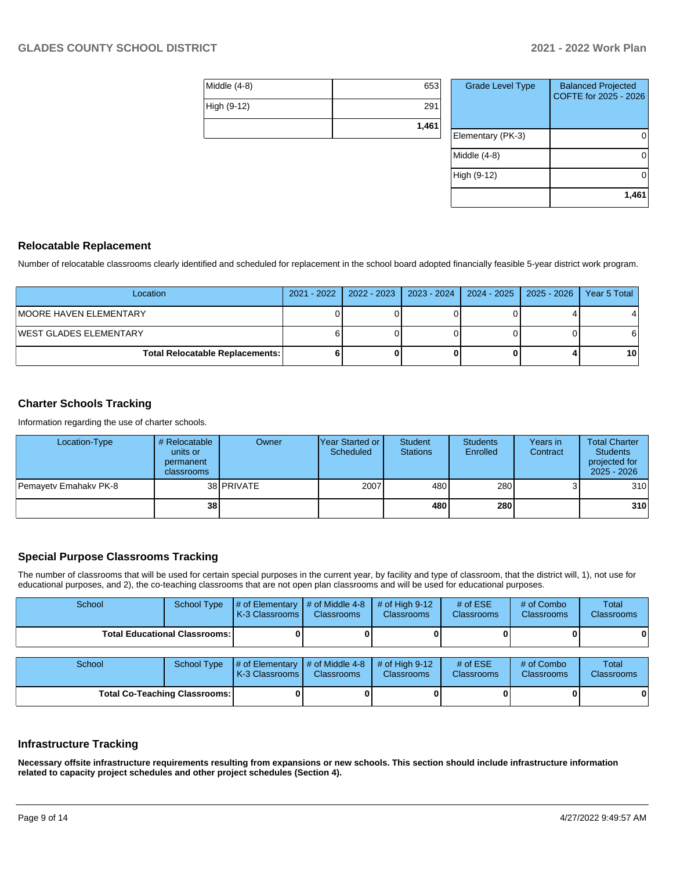| Middle (4-8) | 653   |
|--------------|-------|
| High (9-12)  | 291   |
|              | 1,461 |

| <b>Grade Level Type</b> | <b>Balanced Projected</b><br>COFTE for 2025 - 2026 |
|-------------------------|----------------------------------------------------|
| Elementary (PK-3)       |                                                    |
| Middle (4-8)            |                                                    |
| High (9-12)             |                                                    |
|                         | 1,461                                              |

### **Relocatable Replacement**

Number of relocatable classrooms clearly identified and scheduled for replacement in the school board adopted financially feasible 5-year district work program.

| Location                               | 2021 - 2022   2022 - 2023 | 2023 - 2024   2024 - 2025   2025 - 2026 | Year 5 Total |
|----------------------------------------|---------------------------|-----------------------------------------|--------------|
| IMOORE HAVEN ELEMENTARY                |                           |                                         |              |
| IWEST GLADES ELEMENTARY                |                           |                                         |              |
| <b>Total Relocatable Replacements:</b> |                           |                                         | 10           |

## **Charter Schools Tracking**

Information regarding the use of charter schools.

| Location-Type         | # Relocatable<br>units or<br>permanent<br><b>classrooms</b> | Owner             | <b>Year Started or I</b><br>Scheduled | <b>Student</b><br><b>Stations</b> | <b>Students</b><br>Enrolled | Years in<br>Contract | <b>Total Charter</b><br><b>Students</b><br>projected for<br>$2025 - 2026$ |
|-----------------------|-------------------------------------------------------------|-------------------|---------------------------------------|-----------------------------------|-----------------------------|----------------------|---------------------------------------------------------------------------|
| Pemayety Emahaky PK-8 |                                                             | 38 <b>PRIVATE</b> | 2007                                  | 480                               | 280                         |                      | 310                                                                       |
|                       | 38                                                          |                   |                                       | 480                               | 280                         |                      | 310                                                                       |

# **Special Purpose Classrooms Tracking**

The number of classrooms that will be used for certain special purposes in the current year, by facility and type of classroom, that the district will, 1), not use for educational purposes, and 2), the co-teaching classrooms that are not open plan classrooms and will be used for educational purposes.

| School                               | <b>School Type</b>                   | # of Elementary<br>K-3 Classrooms | # of Middle 4-8<br><b>Classrooms</b>    | # of High $9-12$<br><b>Classrooms</b> | # of $ESE$<br>Classrooms | # of Combo<br><b>Classrooms</b> | Total<br><b>Classrooms</b> |
|--------------------------------------|--------------------------------------|-----------------------------------|-----------------------------------------|---------------------------------------|--------------------------|---------------------------------|----------------------------|
|                                      | <b>Total Educational Classrooms:</b> |                                   |                                         |                                       |                          |                                 | 0                          |
| School                               | School Type                          | # of Elementary<br>K-3 Classrooms | $\#$ of Middle 4-8<br><b>Classrooms</b> | # of High $9-12$<br><b>Classrooms</b> | # of $ESE$<br>Classrooms | # of Combo<br><b>Classrooms</b> | Total<br><b>Classrooms</b> |
| <b>Total Co-Teaching Classrooms:</b> |                                      |                                   |                                         |                                       |                          |                                 | 0                          |

### **Infrastructure Tracking**

**Necessary offsite infrastructure requirements resulting from expansions or new schools. This section should include infrastructure information related to capacity project schedules and other project schedules (Section 4).**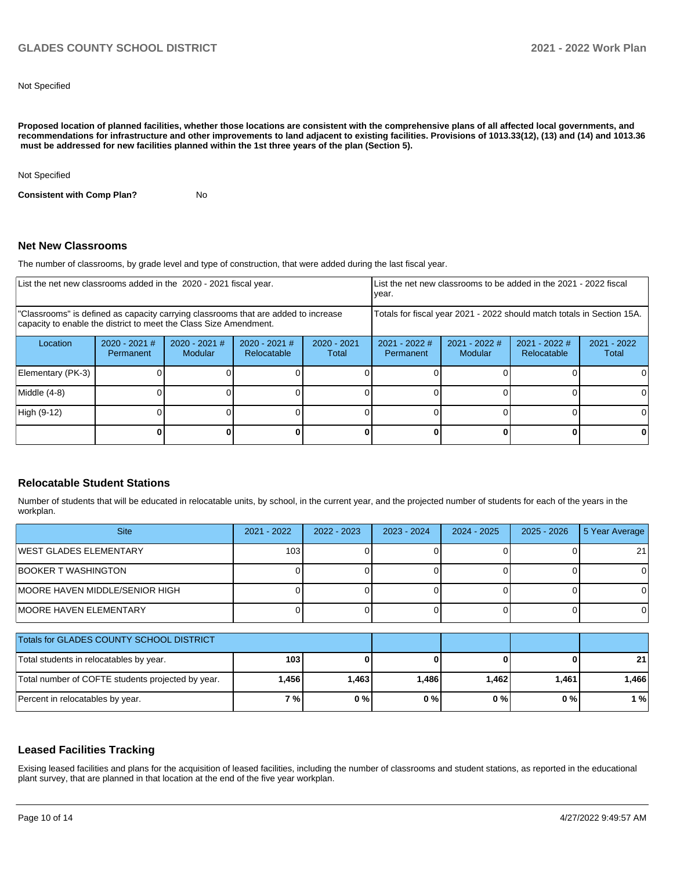Not Specified

**Proposed location of planned facilities, whether those locations are consistent with the comprehensive plans of all affected local governments, and recommendations for infrastructure and other improvements to land adjacent to existing facilities. Provisions of 1013.33(12), (13) and (14) and 1013.36** must be addressed for new facilities planned within the 1st three years of the plan (Section 5).

Not Specified

**Consistent with Comp Plan?** No

#### **Net New Classrooms**

The number of classrooms, by grade level and type of construction, that were added during the last fiscal year.

|                                                                                                                                                         | List the net new classrooms added in the 2020 - 2021 fiscal year. |                            |                                |                        |                              | List the net new classrooms to be added in the 2021 - 2022 fiscal<br>year. |                                                                        |                      |  |  |
|---------------------------------------------------------------------------------------------------------------------------------------------------------|-------------------------------------------------------------------|----------------------------|--------------------------------|------------------------|------------------------------|----------------------------------------------------------------------------|------------------------------------------------------------------------|----------------------|--|--|
| "Classrooms" is defined as capacity carrying classrooms that are added to increase<br>capacity to enable the district to meet the Class Size Amendment. |                                                                   |                            |                                |                        |                              |                                                                            | Totals for fiscal year 2021 - 2022 should match totals in Section 15A. |                      |  |  |
| Location                                                                                                                                                | $2020 - 2021$ #<br><b>Permanent</b>                               | $2020 - 2021$ #<br>Modular | $2020 - 2021$ #<br>Relocatable | $2020 - 2021$<br>Total | $2021 - 2022$ #<br>Permanent | $2021 - 2022$ #<br>Modular                                                 | $2021 - 2022$ #<br>Relocatable                                         | 2021 - 2022<br>Total |  |  |
| Elementary (PK-3)                                                                                                                                       |                                                                   |                            |                                |                        |                              |                                                                            |                                                                        |                      |  |  |
| Middle (4-8)                                                                                                                                            |                                                                   |                            |                                |                        |                              |                                                                            |                                                                        |                      |  |  |
| High (9-12)                                                                                                                                             |                                                                   |                            |                                |                        |                              |                                                                            |                                                                        |                      |  |  |
|                                                                                                                                                         |                                                                   |                            |                                |                        |                              |                                                                            |                                                                        |                      |  |  |

#### **Relocatable Student Stations**

Number of students that will be educated in relocatable units, by school, in the current year, and the projected number of students for each of the years in the workplan.

| <b>Site</b>                                       | $2021 - 2022$    | 2022 - 2023 | $2023 - 2024$ | $2024 - 2025$ | $2025 - 2026$ | 5 Year Average |
|---------------------------------------------------|------------------|-------------|---------------|---------------|---------------|----------------|
| WEST GLADES ELEMENTARY                            | 103 <sub>l</sub> |             |               |               |               | 21             |
| <b>BOOKER T WASHINGTON</b>                        |                  |             |               |               |               | 0              |
| <b>IMOORE HAVEN MIDDLE/SENIOR HIGH</b>            |                  |             |               |               |               | 0              |
| <b>IMOORE HAVEN ELEMENTARY</b>                    |                  |             |               |               |               | 0              |
| Totals for GLADES COUNTY SCHOOL DISTRICT          |                  |             |               |               |               |                |
| Total students in relocatables by year.           | 103 <sub>l</sub> |             |               |               |               | 21             |
| Total number of COFTE students projected by year. | 1,456            | 1,463       | 1,486         | 1,462         | 1,461         | 1,466          |
| Percent in relocatables by year.                  | 7%               | 0%          | 0%            | 0%            | 0%            | 1%             |

#### **Leased Facilities Tracking**

Exising leased facilities and plans for the acquisition of leased facilities, including the number of classrooms and student stations, as reported in the educational plant survey, that are planned in that location at the end of the five year workplan.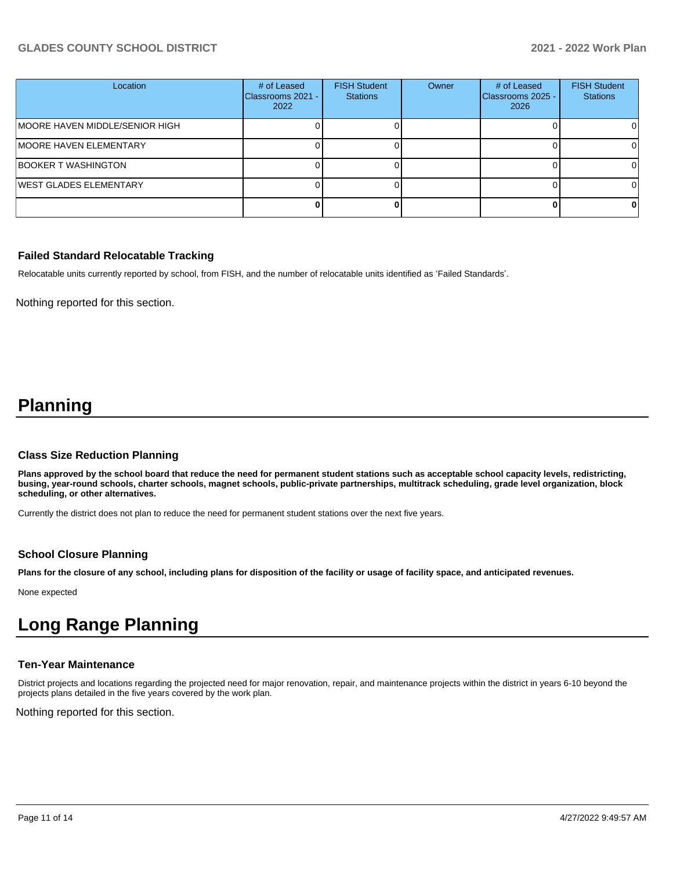# **GLADES COUNTY SCHOOL DISTRICT 2021 - 2022 Work Plan**

| Location                        | # of Leased<br>Classrooms 2021 -<br>2022 | <b>FISH Student</b><br><b>Stations</b> | Owner | # of Leased<br>Classrooms 2025 -<br>2026 | <b>FISH Student</b><br><b>Stations</b> |
|---------------------------------|------------------------------------------|----------------------------------------|-------|------------------------------------------|----------------------------------------|
| IMOORE HAVEN MIDDLE/SENIOR HIGH |                                          |                                        |       |                                          |                                        |
| MOORE HAVEN ELEMENTARY          |                                          |                                        |       |                                          |                                        |
| <b>BOOKER T WASHINGTON</b>      |                                          |                                        |       |                                          | ΩI                                     |
| WEST GLADES ELEMENTARY          |                                          |                                        |       |                                          |                                        |
|                                 |                                          |                                        |       |                                          | o                                      |

#### **Failed Standard Relocatable Tracking**

Relocatable units currently reported by school, from FISH, and the number of relocatable units identified as 'Failed Standards'.

Nothing reported for this section.

# **Planning**

#### **Class Size Reduction Planning**

**Plans approved by the school board that reduce the need for permanent student stations such as acceptable school capacity levels, redistricting, busing, year-round schools, charter schools, magnet schools, public-private partnerships, multitrack scheduling, grade level organization, block scheduling, or other alternatives.**

Currently the district does not plan to reduce the need for permanent student stations over the next five years.

#### **School Closure Planning**

**Plans for the closure of any school, including plans for disposition of the facility or usage of facility space, and anticipated revenues.** 

None expected

# **Long Range Planning**

#### **Ten-Year Maintenance**

District projects and locations regarding the projected need for major renovation, repair, and maintenance projects within the district in years 6-10 beyond the projects plans detailed in the five years covered by the work plan.

Nothing reported for this section.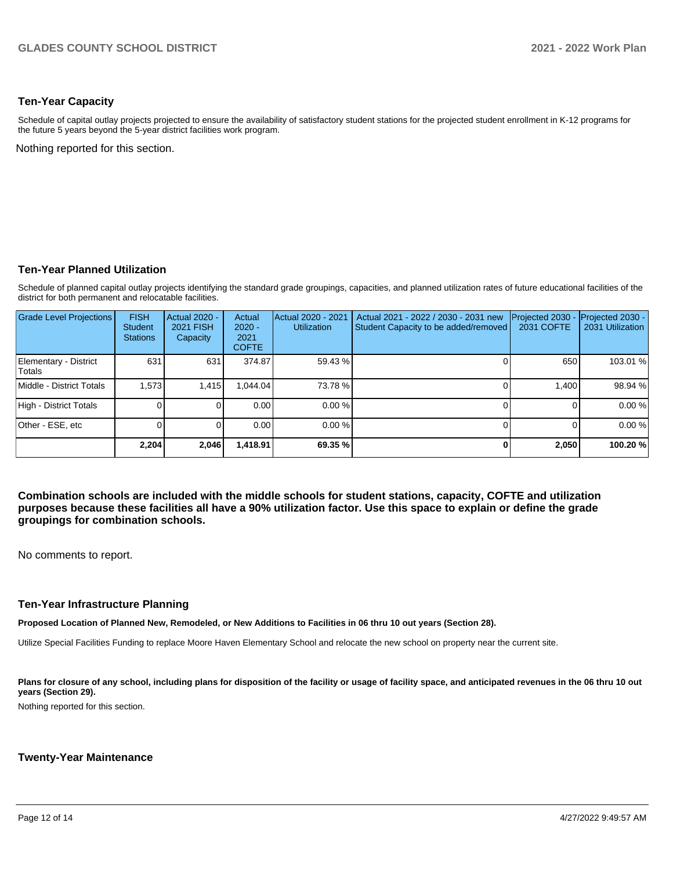### **Ten-Year Capacity**

Schedule of capital outlay projects projected to ensure the availability of satisfactory student stations for the projected student enrollment in K-12 programs for the future 5 years beyond the 5-year district facilities work program.

Nothing reported for this section.

### **Ten-Year Planned Utilization**

Schedule of planned capital outlay projects identifying the standard grade groupings, capacities, and planned utilization rates of future educational facilities of the district for both permanent and relocatable facilities.

| <b>Grade Level Projections</b>  | <b>FISH</b><br>Student<br><b>Stations</b> | Actual 2020 -<br><b>2021 FISH</b><br>Capacity | Actual<br>$2020 -$<br>2021<br><b>COFTE</b> | Actual 2020 - 2021<br><b>Utilization</b> | Actual 2021 - 2022 / 2030 - 2031 new<br>Student Capacity to be added/removed | Projected 2030<br><b>2031 COFTE</b> | Projected 2030 -<br>2031 Utilization |
|---------------------------------|-------------------------------------------|-----------------------------------------------|--------------------------------------------|------------------------------------------|------------------------------------------------------------------------------|-------------------------------------|--------------------------------------|
| Elementary - District<br>Totals | 631                                       | 631                                           | 374.87                                     | 59.43 %                                  |                                                                              | 650                                 | 103.01 %                             |
| Middle - District Totals        | 1.573                                     | 1,415                                         | 1.044.04                                   | 73.78 %                                  |                                                                              | 1.400                               | 98.94 %                              |
| High - District Totals          |                                           |                                               | 0.00                                       | 0.00%                                    |                                                                              |                                     | 0.00 %                               |
| Other - ESE, etc                |                                           |                                               | 0.00                                       | 0.00%                                    |                                                                              |                                     | 0.00 %                               |
|                                 | 2,204                                     | 2,046                                         | 418.91,ا                                   | 69.35 %                                  | 0                                                                            | 2,050                               | 100.20%                              |

**Combination schools are included with the middle schools for student stations, capacity, COFTE and utilization purposes because these facilities all have a 90% utilization factor. Use this space to explain or define the grade groupings for combination schools.** 

No comments to report.

#### **Ten-Year Infrastructure Planning**

**Proposed Location of Planned New, Remodeled, or New Additions to Facilities in 06 thru 10 out years (Section 28).**

Utilize Special Facilities Funding to replace Moore Haven Elementary School and relocate the new school on property near the current site.

Plans for closure of any school, including plans for disposition of the facility or usage of facility space, and anticipated revenues in the 06 thru 10 out **years (Section 29).**

Nothing reported for this section.

#### **Twenty-Year Maintenance**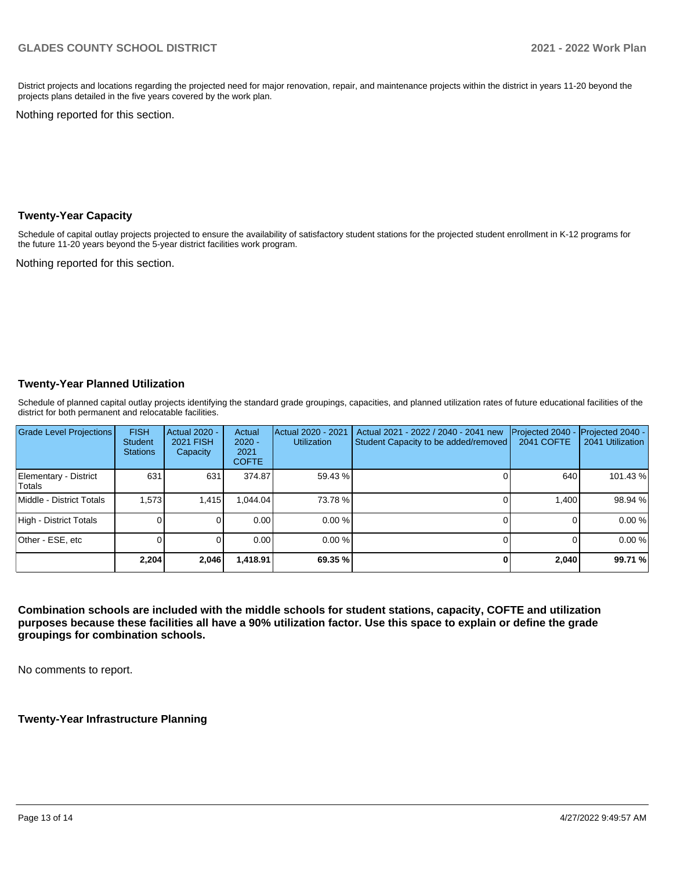District projects and locations regarding the projected need for major renovation, repair, and maintenance projects within the district in years 11-20 beyond the projects plans detailed in the five years covered by the work plan.

Nothing reported for this section.

#### **Twenty-Year Capacity**

Schedule of capital outlay projects projected to ensure the availability of satisfactory student stations for the projected student enrollment in K-12 programs for the future 11-20 years beyond the 5-year district facilities work program.

Nothing reported for this section.

### **Twenty-Year Planned Utilization**

Schedule of planned capital outlay projects identifying the standard grade groupings, capacities, and planned utilization rates of future educational facilities of the district for both permanent and relocatable facilities.

| <b>Grade Level Projections</b>  | <b>FISH</b><br><b>Student</b><br><b>Stations</b> | Actual 2020 -<br><b>2021 FISH</b><br>Capacity | Actual<br>$2020 -$<br>2021<br><b>COFTE</b> | Actual 2020 - 2021<br><b>Utilization</b> | Actual 2021 - 2022 / 2040 - 2041 new<br>Student Capacity to be added/removed | Projected 2040 -<br><b>2041 COFTE</b> | Projected 2040 -<br>2041 Utilization |
|---------------------------------|--------------------------------------------------|-----------------------------------------------|--------------------------------------------|------------------------------------------|------------------------------------------------------------------------------|---------------------------------------|--------------------------------------|
| Elementary - District<br>Totals | 631                                              | 631                                           | 374.87                                     | 59.43 %                                  |                                                                              | 640                                   | 101.43%                              |
| Middle - District Totals        | 1.573                                            | 1.415                                         | .044.04                                    | 73.78 %                                  |                                                                              | 1.400                                 | 98.94 %                              |
| High - District Totals          |                                                  |                                               | 0.00                                       | 0.00%                                    |                                                                              |                                       | 0.00%                                |
| Other - ESE, etc                |                                                  |                                               | 0.00                                       | $0.00 \%$                                |                                                                              |                                       | 0.00%                                |
|                                 | 2,204                                            | 2,046                                         | 1,418.91                                   | 69.35 %                                  |                                                                              | 2,040                                 | 99.71 %                              |

**Combination schools are included with the middle schools for student stations, capacity, COFTE and utilization purposes because these facilities all have a 90% utilization factor. Use this space to explain or define the grade groupings for combination schools.** 

No comments to report.

**Twenty-Year Infrastructure Planning**